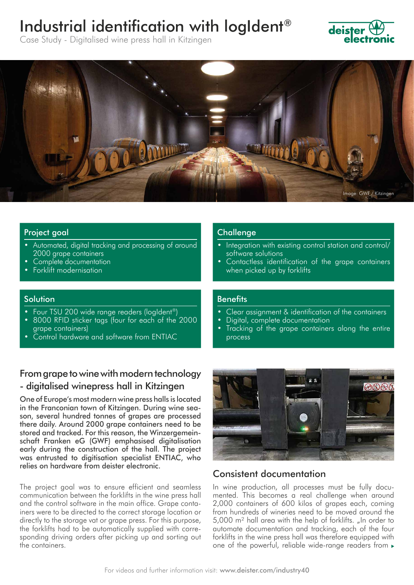# Industrial identification with logIdent®



Case Study - Digitalised wine press hall in Kitzingen



## Project goal

- Automated, digital tracking and processing of around 2000 grape containers
- Complete documentation
- Forklift modernisation

#### Solution

- Four TSU 200 wide range readers (logIdent®)
- 8000 RFID sticker tags (four for each of the 2000 grape containers)
- Control hardware and software from ENTIAC

## From grape to wine with modern technology - digitalised winepress hall in Kitzingen

One of Europe's most modern wine press halls is located in the Franconian town of Kitzingen. During wine season, several hundred tonnes of grapes are processed there daily. Around 2000 grape containers need to be stored and tracked. For this reason, the Winzergemeinschaft Franken eG (GWF) emphasised digitalisation early during the construction of the hall. The project was entrusted to digitisation specialist ENTIAC, who relies on hardware from deister electronic.

The project goal was to ensure efficient and seamless communication between the forklifts in the wine press hall and the control software in the main office. Grape containers were to be directed to the correct storage location or directly to the storage vat or grape press. For this purpose, the forklifts had to be automatically supplied with corresponding driving orders after picking up and sorting out the containers.

## **Challenge**

- Integration with existing control station and control/ software solutions
- Contactless identification of the grape containers when picked up by forklifts

## **Benefits**

- Clear assignment & identification of the containers
- Digital, complete documentation
- Tracking of the grape containers along the entire process



## Consistent documentation

In wine production, all processes must be fully documented. This becomes a real challenge when around 2,000 containers of 600 kilos of grapes each, coming from hundreds of wineries need to be moved around the 5,000 m<sup>2</sup> hall area with the help of forklifts. "In order to automate documentation and tracking, each of the four forklifts in the wine press hall was therefore equipped with one of the powerful, reliable wide-range readers from